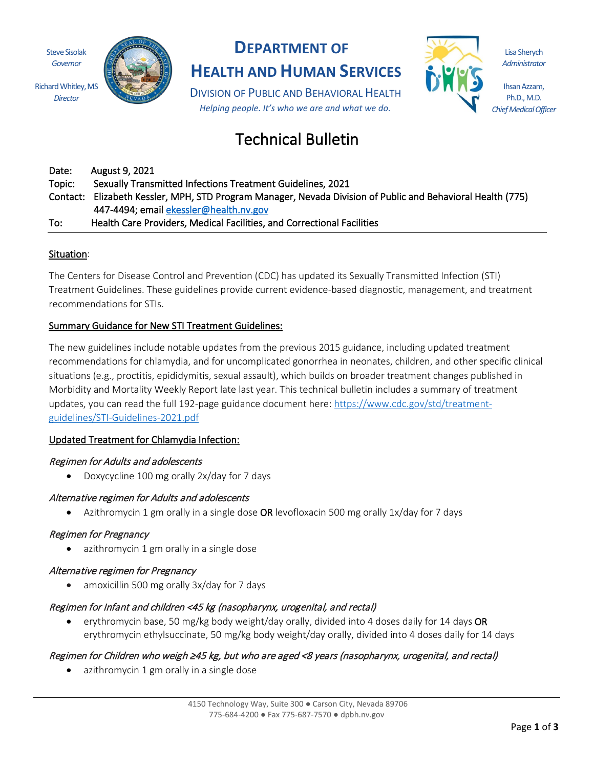Steve Sisolak *Governor*

*Director*



# **DEPARTMENT OF**

**HEALTH AND HUMAN SERVICES**

DIVISION OF PUBLIC AND BEHAVIORAL HEALTH *Helping people. It's who we are and what we do.*



Lisa Sherych *Administrator*

Ihsan Azzam, Ph.D., M.D. *Chief Medical Officer*

# Technical Bulletin

Date: August 9, 2021 Topic: Sexually Transmitted Infections Treatment Guidelines, 2021 Contact: Elizabeth Kessler, MPH, STD Program Manager, Nevada Division of Public and Behavioral Health (775) 447-4494; email [ekessler@health.nv.gov](mailto:ekessler@health.nv.gov)  To: Health Care Providers, Medical Facilities, and Correctional Facilities

# Situation:

The Centers for Disease Control and Prevention (CDC) has updated its Sexually Transmitted Infection (STI) Treatment Guidelines. These guidelines provide current evidence-based diagnostic, management, and treatment recommendations for STIs.

# Summary Guidance for New STI Treatment Guidelines:

The new guidelines include notable updates from the previous 2015 guidance, including updated treatment recommendations for chlamydia, and for uncomplicated gonorrhea in neonates, children, and other specific clinical situations (e.g., proctitis, epididymitis, sexual assault), which builds on broader treatment changes published in Morbidity and Mortality Weekly Report late last year. This technical bulletin includes a summary of treatment updates, you can read the full 192-page guidance document here[: https://www.cdc.gov/std/treatment](https://www.cdc.gov/std/treatment-guidelines/STI-Guidelines-2021.pdf)[guidelines/STI-Guidelines-2021.pdf](https://www.cdc.gov/std/treatment-guidelines/STI-Guidelines-2021.pdf)

# Updated Treatment for Chlamydia Infection:

# Regimen for Adults and adolescents

• Doxycycline 100 mg orally 2x/day for 7 days

# Alternative regimen for Adults and adolescents

• Azithromycin 1 gm orally in a single dose OR levofloxacin 500 mg orally 1x/day for 7 days

# Regimen for Pregnancy

• azithromycin 1 gm orally in a single dose

# Alternative regimen for Pregnancy

• amoxicillin 500 mg orally 3x/day for 7 days

# Regimen for Infant and children <45 kg (nasopharynx, urogenital, and rectal)

erythromycin base, 50 mg/kg body weight/day orally, divided into 4 doses daily for 14 days OR erythromycin ethylsuccinate, 50 mg/kg body weight/day orally, divided into 4 doses daily for 14 days

# Regimen for Children who weigh ≥45 kg, but who are aged <8 years (nasopharynx, urogenital, and rectal)

azithromycin 1 gm orally in a single dose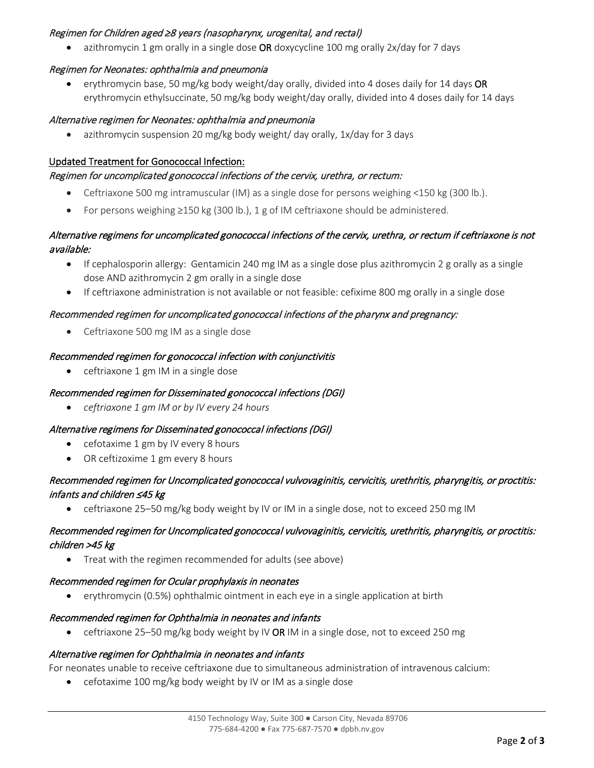# Regimen for Children aged ≥8 years (nasopharynx, urogenital, and rectal)

azithromycin 1 gm orally in a single dose OR doxycycline 100 mg orally  $2x/day$  for 7 days

# Regimen for Neonates: ophthalmia and pneumonia

• erythromycin base, 50 mg/kg body weight/day orally, divided into 4 doses daily for 14 days OR erythromycin ethylsuccinate, 50 mg/kg body weight/day orally, divided into 4 doses daily for 14 days

#### Alternative regimen for Neonates: ophthalmia and pneumonia

• azithromycin suspension 20 mg/kg body weight/ day orally, 1x/day for 3 days

#### Updated Treatment for Gonococcal Infection:

#### Regimen for uncomplicated gonococcal infections of the cervix, urethra, or rectum:

- Ceftriaxone 500 mg intramuscular (IM) as a single dose for persons weighing <150 kg (300 lb.).
- For persons weighing ≥150 kg (300 lb.), 1 g of IM ceftriaxone should be administered.

# Alternative regimens for uncomplicated gonococcal infections of the cervix, urethra, or rectum if ceftriaxone is not available:

- If cephalosporin allergy: Gentamicin 240 mg IM as a single dose plus azithromycin 2 g orally as a single dose AND azithromycin 2 gm orally in a single dose
- If ceftriaxone administration is not available or not feasible: cefixime 800 mg orally in a single dose

# Recommended regimen for uncomplicated gonococcal infections of the pharynx and pregnancy:

• Ceftriaxone 500 mg IM as a single dose

#### Recommended regimen for gonococcal infection with conjunctivitis

• ceftriaxone 1 gm IM in a single dose

# Recommended regimen for Disseminated gonococcal infections (DGI)

• *ceftriaxone 1 gm IM or by IV every 24 hours*

# Alternative regimens for Disseminated gonococcal infections (DGI)

- cefotaxime 1 gm by IV every 8 hours
- OR ceftizoxime 1 gm every 8 hours

# Recommended regimen for Uncomplicated gonococcal vulvovaginitis, cervicitis, urethritis, pharyngitis, or proctitis: infants and children ≤45 kg

• ceftriaxone 25–50 mg/kg body weight by IV or IM in a single dose, not to exceed 250 mg IM

# Recommended regimen for Uncomplicated gonococcal vulvovaginitis, cervicitis, urethritis, pharyngitis, or proctitis: children >45 kg

• Treat with the regimen recommended for adults (see above)

# Recommended regimen for Ocular prophylaxis in neonates

• erythromycin (0.5%) ophthalmic ointment in each eye in a single application at birth

# Recommended regimen for Ophthalmia in neonates and infants

• ceftriaxone 25–50 mg/kg body weight by IV OR IM in a single dose, not to exceed 250 mg

#### Alternative regimen for Ophthalmia in neonates and infants

For neonates unable to receive ceftriaxone due to simultaneous administration of intravenous calcium:

• cefotaxime 100 mg/kg body weight by IV or IM as a single dose